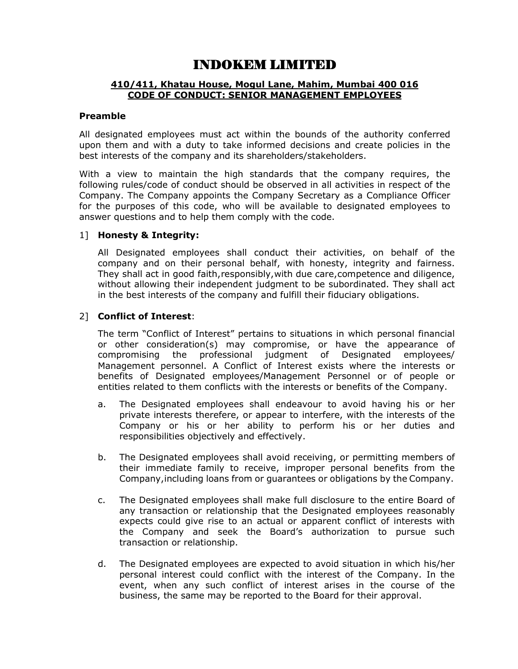# INDOKEM LIMITED

## 410/411, Khatau House, Mogul Lane, Mahim, Mumbai 400 016 CODE OF CONDUCT: SENIOR MANAGEMENT EMPLOYEES

#### Preamble

All designated employees must act within the bounds of the authority conferred upon them and with a duty to take informed decisions and create policies in the best interests of the company and its shareholders/stakeholders.

With a view to maintain the high standards that the company requires, the following rules/code of conduct should be observed in all activities in respect of the Company. The Company appoints the Company Secretary as a Compliance Officer for the purposes of this code, who will be available to designated employees to answer questions and to help them comply with the code.

## 1] Honesty & Integrity:

All Designated employees shall conduct their activities, on behalf of the company and on their personal behalf, with honesty, integrity and fairness. They shall act in good faith,responsibly,with due care,competence and diligence, without allowing their independent judgment to be subordinated. They shall act in the best interests of the company and fulfill their fiduciary obligations.

# 2] Conflict of Interest:

The term "Conflict of Interest" pertains to situations in which personal financial or other consideration(s) may compromise, or have the appearance of compromising the professional judgment of Designated employees/ Management personnel. A Conflict of Interest exists where the interests or benefits of Designated employees/Management Personnel or of people or entities related to them conflicts with the interests or benefits of the Company.

- a. The Designated employees shall endeavour to avoid having his or her private interests therefere, or appear to interfere, with the interests of the Company or his or her ability to perform his or her duties and responsibilities objectively and effectively.
- b. The Designated employees shall avoid receiving, or permitting members of their immediate family to receive, improper personal benefits from the Company,including loans from or guarantees or obligations by the Company.
- c. The Designated employees shall make full disclosure to the entire Board of any transaction or relationship that the Designated employees reasonably expects could give rise to an actual or apparent conflict of interests with the Company and seek the Board's authorization to pursue such transaction or relationship.
- d. The Designated employees are expected to avoid situation in which his/her personal interest could conflict with the interest of the Company. In the event, when any such conflict of interest arises in the course of the business, the same may be reported to the Board for their approval.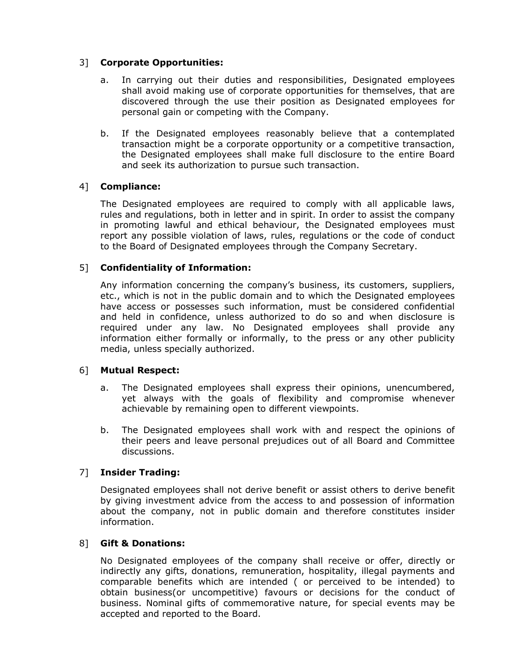# 3] Corporate Opportunities:

- a. In carrying out their duties and responsibilities, Designated employees shall avoid making use of corporate opportunities for themselves, that are discovered through the use their position as Designated employees for personal gain or competing with the Company.
- b. If the Designated employees reasonably believe that a contemplated transaction might be a corporate opportunity or a competitive transaction, the Designated employees shall make full disclosure to the entire Board and seek its authorization to pursue such transaction.

# 4] Compliance:

The Designated employees are required to comply with all applicable laws, rules and regulations, both in letter and in spirit. In order to assist the company in promoting lawful and ethical behaviour, the Designated employees must report any possible violation of laws, rules, regulations or the code of conduct to the Board of Designated employees through the Company Secretary.

# 5] Confidentiality of Information:

Any information concerning the company's business, its customers, suppliers, etc., which is not in the public domain and to which the Designated employees have access or possesses such information, must be considered confidential and held in confidence, unless authorized to do so and when disclosure is required under any law. No Designated employees shall provide any information either formally or informally, to the press or any other publicity media, unless specially authorized.

#### 6] Mutual Respect:

- a. The Designated employees shall express their opinions, unencumbered, yet always with the goals of flexibility and compromise whenever achievable by remaining open to different viewpoints.
- b. The Designated employees shall work with and respect the opinions of their peers and leave personal prejudices out of all Board and Committee discussions.

# 7] Insider Trading:

Designated employees shall not derive benefit or assist others to derive benefit by giving investment advice from the access to and possession of information about the company, not in public domain and therefore constitutes insider information.

#### 8] Gift & Donations:

No Designated employees of the company shall receive or offer, directly or indirectly any gifts, donations, remuneration, hospitality, illegal payments and comparable benefits which are intended ( or perceived to be intended) to obtain business(or uncompetitive) favours or decisions for the conduct of business. Nominal gifts of commemorative nature, for special events may be accepted and reported to the Board.